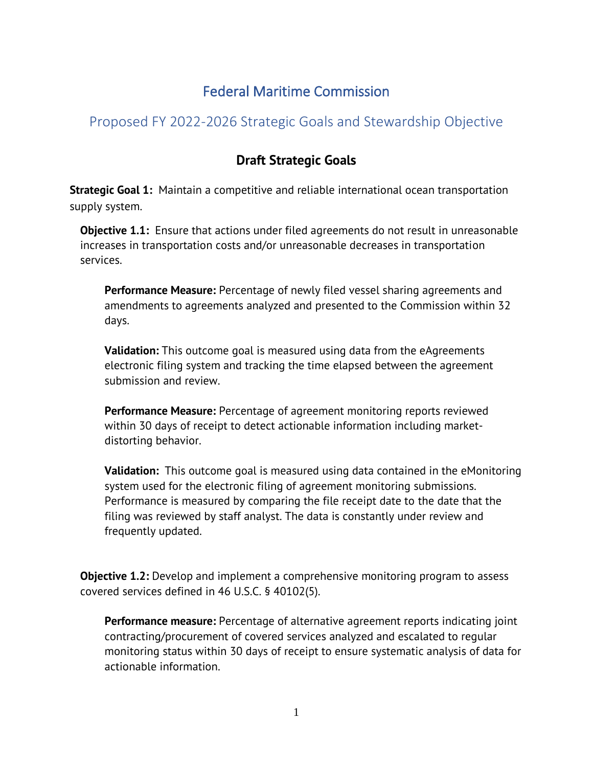# Federal Maritime Commission

## Proposed FY 2022-2026 Strategic Goals and Stewardship Objective

## **Draft Strategic Goals**

**Strategic Goal 1:** Maintain a competitive and reliable international ocean transportation supply system.

**Objective 1.1:** Ensure that actions under filed agreements do not result in unreasonable increases in transportation costs and/or unreasonable decreases in transportation services.

**Performance Measure:** Percentage of newly filed vessel sharing agreements and amendments to agreements analyzed and presented to the Commission within 32 days.

**Validation:** This outcome goal is measured using data from the eAgreements electronic filing system and tracking the time elapsed between the agreement submission and review.

**Performance Measure:** Percentage of agreement monitoring reports reviewed within 30 days of receipt to detect actionable information including marketdistorting behavior.

**Validation:** This outcome goal is measured using data contained in the eMonitoring system used for the electronic filing of agreement monitoring submissions. Performance is measured by comparing the file receipt date to the date that the filing was reviewed by staff analyst. The data is constantly under review and frequently updated.

**Objective 1.2:** Develop and implement a comprehensive monitoring program to assess covered services defined in 46 U.S.C. § 40102(5).

**Performance measure:** Percentage of alternative agreement reports indicating joint contracting/procurement of covered services analyzed and escalated to regular monitoring status within 30 days of receipt to ensure systematic analysis of data for actionable information.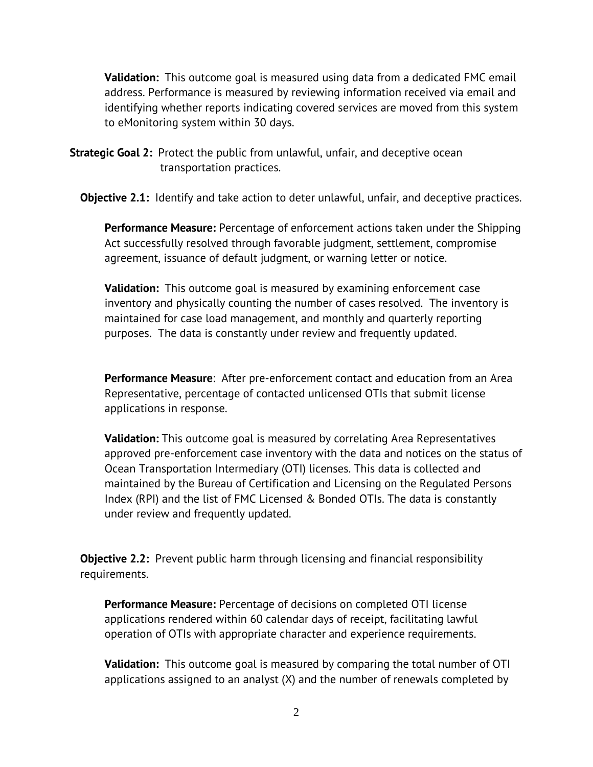**Validation:** This outcome goal is measured using data from a dedicated FMC email address. Performance is measured by reviewing information received via email and identifying whether reports indicating covered services are moved from this system to eMonitoring system within 30 days.

**Strategic Goal 2:** Protect the public from unlawful, unfair, and deceptive ocean transportation practices.

**Objective 2.1:** Identify and take action to deter unlawful, unfair, and deceptive practices.

**Performance Measure:** Percentage of enforcement actions taken under the Shipping Act successfully resolved through favorable judgment, settlement, compromise agreement, issuance of default judgment, or warning letter or notice.

**Validation:** This outcome goal is measured by examining enforcement case inventory and physically counting the number of cases resolved. The inventory is maintained for case load management, and monthly and quarterly reporting purposes. The data is constantly under review and frequently updated.

**Performance Measure**: After pre-enforcement contact and education from an Area Representative, percentage of contacted unlicensed OTIs that submit license applications in response.

**Validation:** This outcome goal is measured by correlating Area Representatives approved pre-enforcement case inventory with the data and notices on the status of Ocean Transportation Intermediary (OTI) licenses. This data is collected and maintained by the Bureau of Certification and Licensing on the Regulated Persons Index (RPI) and the list of FMC Licensed & Bonded OTIs. The data is constantly under review and frequently updated.

**Objective 2.2:** Prevent public harm through licensing and financial responsibility requirements.

**Performance Measure:** Percentage of decisions on completed OTI license applications rendered within 60 calendar days of receipt, facilitating lawful operation of OTIs with appropriate character and experience requirements.

**Validation:** This outcome goal is measured by comparing the total number of OTI applications assigned to an analyst (X) and the number of renewals completed by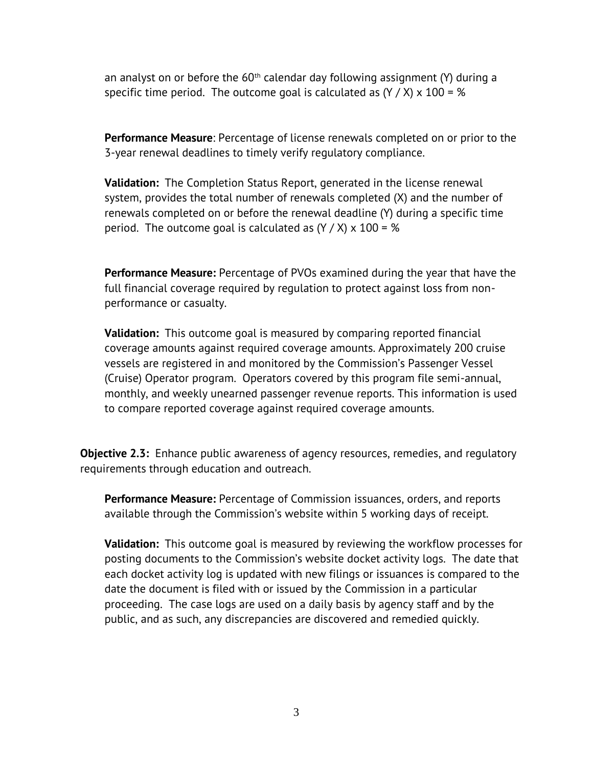an analyst on or before the  $60<sup>th</sup>$  calendar day following assignment (Y) during a specific time period. The outcome goal is calculated as  $(Y / X)$  x 100 = %

**Performance Measure**: Percentage of license renewals completed on or prior to the 3-year renewal deadlines to timely verify regulatory compliance.

**Validation:** The Completion Status Report, generated in the license renewal system, provides the total number of renewals completed (X) and the number of renewals completed on or before the renewal deadline (Y) during a specific time period. The outcome goal is calculated as  $(Y / X)$  x 100 = %

**Performance Measure:** Percentage of PVOs examined during the year that have the full financial coverage required by regulation to protect against loss from nonperformance or casualty.

**Validation:** This outcome goal is measured by comparing reported financial coverage amounts against required coverage amounts. Approximately 200 cruise vessels are registered in and monitored by the Commission's Passenger Vessel (Cruise) Operator program. Operators covered by this program file semi-annual, monthly, and weekly unearned passenger revenue reports. This information is used to compare reported coverage against required coverage amounts.

**Objective 2.3:** Enhance public awareness of agency resources, remedies, and regulatory requirements through education and outreach.

**Performance Measure:** Percentage of Commission issuances, orders, and reports available through the Commission's website within 5 working days of receipt.

**Validation:** This outcome goal is measured by reviewing the workflow processes for posting documents to the Commission's website docket activity logs. The date that each docket activity log is updated with new filings or issuances is compared to the date the document is filed with or issued by the Commission in a particular proceeding. The case logs are used on a daily basis by agency staff and by the public, and as such, any discrepancies are discovered and remedied quickly.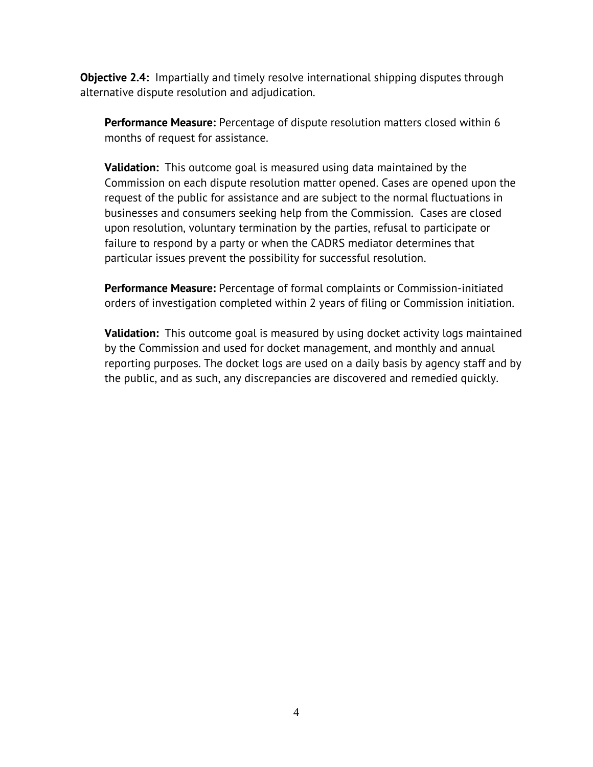**Objective 2.4:** Impartially and timely resolve international shipping disputes through alternative dispute resolution and adjudication.

**Performance Measure:** Percentage of dispute resolution matters closed within 6 months of request for assistance.

**Validation:** This outcome goal is measured using data maintained by the Commission on each dispute resolution matter opened. Cases are opened upon the request of the public for assistance and are subject to the normal fluctuations in businesses and consumers seeking help from the Commission. Cases are closed upon resolution, voluntary termination by the parties, refusal to participate or failure to respond by a party or when the CADRS mediator determines that particular issues prevent the possibility for successful resolution.

**Performance Measure:** Percentage of formal complaints or Commission-initiated orders of investigation completed within 2 years of filing or Commission initiation.

**Validation:** This outcome goal is measured by using docket activity logs maintained by the Commission and used for docket management, and monthly and annual reporting purposes. The docket logs are used on a daily basis by agency staff and by the public, and as such, any discrepancies are discovered and remedied quickly.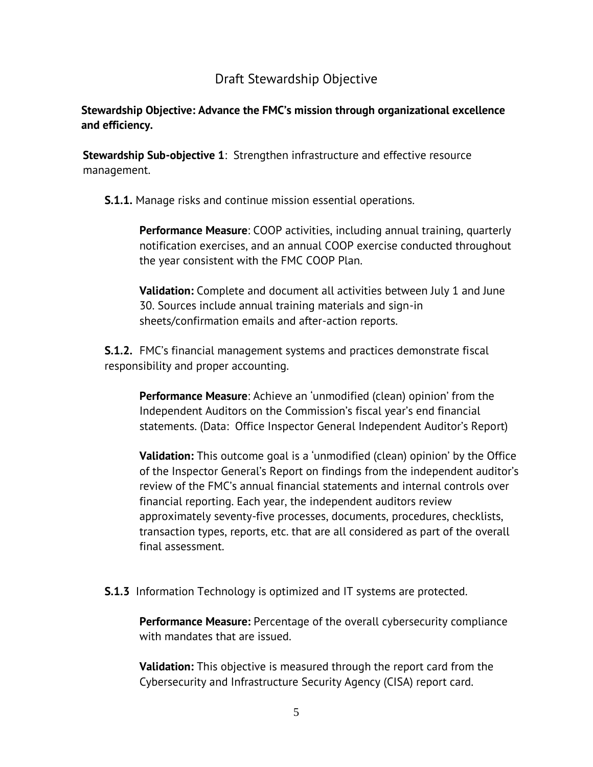### Draft Stewardship Objective

#### **Stewardship Objective: Advance the FMC's mission through organizational excellence and efficiency.**

**Stewardship Sub-objective 1**: Strengthen infrastructure and effective resource management.

**S.1.1.** Manage risks and continue mission essential operations.

**Performance Measure**: COOP activities, including annual training, quarterly notification exercises, and an annual COOP exercise conducted throughout the year consistent with the FMC COOP Plan.

**Validation:** Complete and document all activities between July 1 and June 30. Sources include annual training materials and sign-in sheets/confirmation emails and after-action reports.

**S.1.2.** FMC's financial management systems and practices demonstrate fiscal responsibility and proper accounting.

**Performance Measure**: Achieve an 'unmodified (clean) opinion' from the Independent Auditors on the Commission's fiscal year's end financial statements. (Data: Office Inspector General Independent Auditor's Report)

**Validation:** This outcome goal is a 'unmodified (clean) opinion' by the Office of the Inspector General's Report on findings from the independent auditor's review of the FMC's annual financial statements and internal controls over financial reporting. Each year, the independent auditors review approximately seventy-five processes, documents, procedures, checklists, transaction types, reports, etc. that are all considered as part of the overall final assessment.

**S.1.3** Information Technology is optimized and IT systems are protected.

**Performance Measure:** Percentage of the overall cybersecurity compliance with mandates that are issued.

**Validation:** This objective is measured through the report card from the Cybersecurity and Infrastructure Security Agency (CISA) report card.